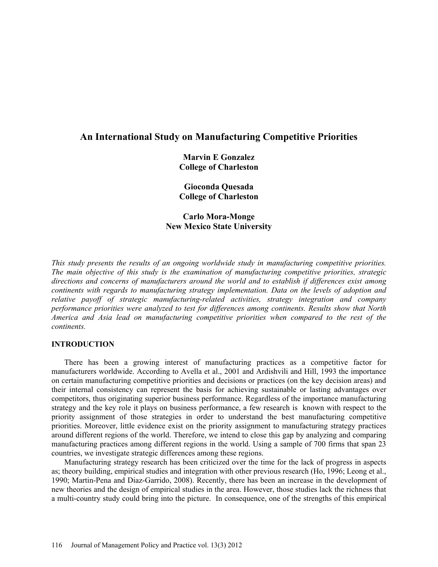# **An International Study on Manufacturing Competitive Priorities**

**Marvin E Gonzalez College of Charleston**

**Gioconda Quesada College of Charleston**

**Carlo Mora-Monge New Mexico State University**

*This study presents the results of an ongoing worldwide study in manufacturing competitive priorities. The main objective of this study is the examination of manufacturing competitive priorities, strategic directions and concerns of manufacturers around the world and to establish if differences exist among continents with regards to manufacturing strategy implementation. Data on the levels of adoption and relative payoff of strategic manufacturing-related activities, strategy integration and company performance priorities were analyzed to test for differences among continents. Results show that North America and Asia lead on manufacturing competitive priorities when compared to the rest of the continents.* 

# **INTRODUCTION**

There has been a growing interest of manufacturing practices as a competitive factor for manufacturers worldwide. According to Avella et al., 2001 and Ardishvili and Hill, 1993 the importance on certain manufacturing competitive priorities and decisions or practices (on the key decision areas) and their internal consistency can represent the basis for achieving sustainable or lasting advantages over competitors, thus originating superior business performance. Regardless of the importance manufacturing strategy and the key role it plays on business performance, a few research is known with respect to the priority assignment of those strategies in order to understand the best manufacturing competitive priorities. Moreover, little evidence exist on the priority assignment to manufacturing strategy practices around different regions of the world. Therefore, we intend to close this gap by analyzing and comparing manufacturing practices among different regions in the world. Using a sample of 700 firms that span 23 countries, we investigate strategic differences among these regions.

Manufacturing strategy research has been criticized over the time for the lack of progress in aspects as; theory building, empirical studies and integration with other previous research (Ho, 1996; Leong et al., 1990; Martin-Pena and Diaz-Garrido, 2008). Recently, there has been an increase in the development of new theories and the design of empirical studies in the area. However, those studies lack the richness that a multi-country study could bring into the picture. In consequence, one of the strengths of this empirical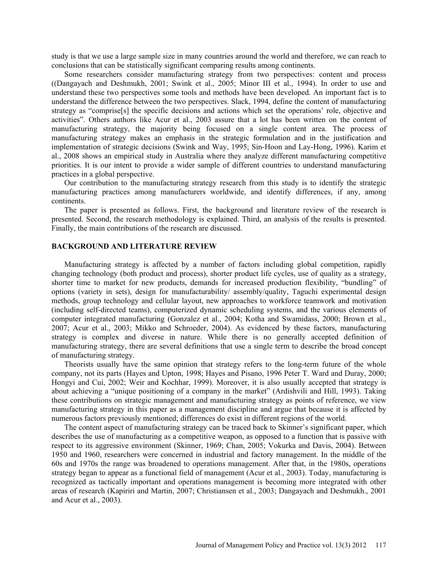study is that we use a large sample size in many countries around the world and therefore, we can reach to conclusions that can be statistically significant comparing results among continents.

Some researchers consider manufacturing strategy from two perspectives: content and process ((Dangayach and Deshmukh, 2001; Swink et al., 2005; Minor III et al., 1994). In order to use and understand these two perspectives some tools and methods have been developed. An important fact is to understand the difference between the two perspectives. Slack, 1994, define the content of manufacturing strategy as "comprise[s] the specific decisions and actions which set the operations' role, objective and activities". Others authors like Acur et al., 2003 assure that a lot has been written on the content of manufacturing strategy, the majority being focused on a single content area. The process of manufacturing strategy makes an emphasis in the strategic formulation and in the justification and implementation of strategic decisions (Swink and Way, 1995; Sin-Hoon and Lay-Hong, 1996). Karim et al., 2008 shows an empirical study in Australia where they analyze different manufacturing competitive priorities. It is our intent to provide a wider sample of different countries to understand manufacturing practices in a global perspective.

Our contribution to the manufacturing strategy research from this study is to identify the strategic manufacturing practices among manufacturers worldwide, and identify differences, if any, among continents.

The paper is presented as follows. First, the background and literature review of the research is presented. Second, the research methodology is explained. Third, an analysis of the results is presented. Finally, the main contributions of the research are discussed.

#### **BACKGROUND AND LITERATURE REVIEW**

Manufacturing strategy is affected by a number of factors including global competition, rapidly changing technology (both product and process), shorter product life cycles, use of quality as a strategy, shorter time to market for new products, demands for increased production flexibility, "bundling" of options (variety in sets), design for manufacturability/ assembly/quality, Taguchi experimental design methods, group technology and cellular layout, new approaches to workforce teamwork and motivation (including self-directed teams), computerized dynamic scheduling systems, and the various elements of computer integrated manufacturing (Gonzalez et al., 2004; Kotha and Swamidass, 2000; Brown et al., 2007; Acur et al., 2003; Mikko and Schroeder, 2004). As evidenced by these factors, manufacturing strategy is complex and diverse in nature. While there is no generally accepted definition of manufacturing strategy, there are several definitions that use a single term to describe the broad concept of manufacturing strategy.

Theorists usually have the same opinion that strategy refers to the long-term future of the whole company, not its parts (Hayes and Upton, 1998; Hayes and Pisano, 1996 Peter T. Ward and Duray, 2000; Hongyi and Cui, 2002; Weir and Kochhar, 1999). Moreover, it is also usually accepted that strategy is about achieving a "unique positioning of a company in the market" (Ardishvili and Hill, 1993). Taking these contributions on strategic management and manufacturing strategy as points of reference, we view manufacturing strategy in this paper as a management discipline and argue that because it is affected by numerous factors previously mentioned; differences do exist in different regions of the world.

The content aspect of manufacturing strategy can be traced back to Skinner's significant paper, which describes the use of manufacturing as a competitive weapon, as opposed to a function that is passive with respect to its aggressive environment (Skinner, 1969; Chan, 2005; Vokurka and Davis, 2004). Between 1950 and 1960, researchers were concerned in industrial and factory management. In the middle of the 60s and 1970s the range was broadened to operations management. After that, in the 1980s, operations strategy began to appear as a functional field of management (Acur et al., 2003). Today, manufacturing is recognized as tactically important and operations management is becoming more integrated with other areas of research (Kapiriri and Martin, 2007; Christiansen et al., 2003; Dangayach and Deshmukh., 2001 and Acur et al., 2003).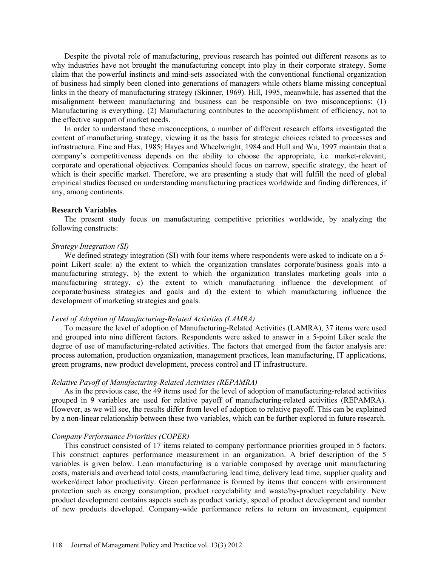Despite the pivotal role of manufacturing, previous research has pointed out different reasons as to why industries have not brought the manufacturing concept into play in their corporate strategy. Some claim that the powerful instincts and mind-sets associated with the conventional functional organization of business had simply been cloned into generations of managers while others blame missing conceptual links in the theory of manufacturing strategy (Skinner, 1969). Hill, 1995, meanwhile, has asserted that the misalignment between manufacturing and business can be responsible on two misconceptions: (1) Manufacturing is everything. (2) Manufacturing contributes to the accomplishment of efficiency, not to the effective support of market needs.

In order to understand these misconceptions, a number of different research efforts investigated the content of manufacturing strategy, viewing it as the basis for strategic choices related to processes and infrastructure. Fine and Hax, 1985; Hayes and Wheelwright, 1984 and Hull and Wu, 1997 maintain that a company's competitiveness depends on the ability to choose the appropriate, i.e. market-relevant, corporate and operational objectives. Companies should focus on narrow, specific strategy, the heart of which is their specific market. Therefore, we are presenting a study that will fulfill the need of global empirical studies focused on understanding manufacturing practices worldwide and finding differences, if any, among continents.

### **Research Variables**

The present study focus on manufacturing competitive priorities worldwide, by analyzing the following constructs:

### *Strategy Integration (SI)*

We defined strategy integration (SI) with four items where respondents were asked to indicate on a 5point Likert scale: a) the extent to which the organization translates corporate/business goals into a manufacturing strategy, b) the extent to which the organization translates marketing goals into a manufacturing strategy, c) the extent to which manufacturing influence the development of corporate/business strategies and goals and d) the extent to which manufacturing influence the development of marketing strategies and goals.

### *Level of Adoption of Manufacturing-Related Activities (LAMRA)*

To measure the level of adoption of Manufacturing-Related Activities (LAMRA), 37 items were used and grouped into nine different factors. Respondents were asked to answer in a 5-point Liker scale the degree of use of manufacturing-related activities. The factors that emerged from the factor analysis are: process automation, production organization, management practices, lean manufacturing, IT applications, green programs, new product development, process control and IT infrastructure.

### *Relative Payoff of Manufacturing-Related Activities (REPAMRA)*

As in the previous case, the 49 items used for the level of adoption of manufacturing-related activities grouped in 9 variables are used for relative payoff of manufacturing-related activities (REPAMRA). However, as we will see, the results differ from level of adoption to relative payoff. This can be explained by a non-linear relationship between these two variables, which can be further explored in future research.

### *Company Performance Priorities (COPER)*

This construct consisted of 17 items related to company performance priorities grouped in 5 factors. This construct captures performance measurement in an organization. A brief description of the 5 variables is given below. Lean manufacturing is a variable composed by average unit manufacturing costs, materials and overhead total costs, manufacturing lead time, delivery lead time, supplier quality and worker/direct labor productivity. Green performance is formed by items that concern with environment protection such as energy consumption, product recyclability and waste/by-product recyclability. New product development contains aspects such as product variety, speed of product development and number of new products developed. Company-wide performance refers to return on investment, equipment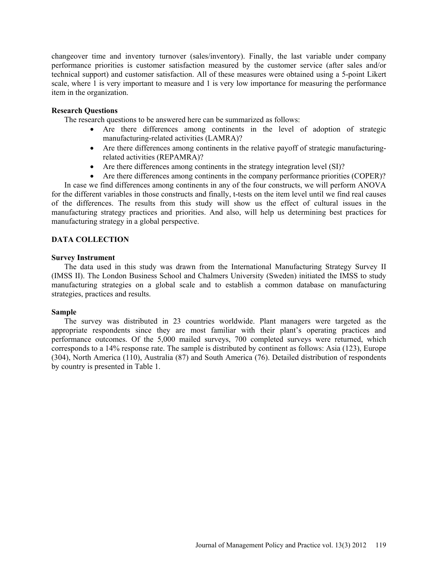changeover time and inventory turnover (sales/inventory). Finally, the last variable under company performance priorities is customer satisfaction measured by the customer service (after sales and/or technical support) and customer satisfaction. All of these measures were obtained using a 5-point Likert scale, where 1 is very important to measure and 1 is very low importance for measuring the performance item in the organization.

# **Research Questions**

The research questions to be answered here can be summarized as follows:

- Are there differences among continents in the level of adoption of strategic manufacturing-related activities (LAMRA)?
- Are there differences among continents in the relative payoff of strategic manufacturingrelated activities (REPAMRA)?
- Are there differences among continents in the strategy integration level (SI)?
- Are there differences among continents in the company performance priorities (COPER)?

In case we find differences among continents in any of the four constructs, we will perform ANOVA for the different variables in those constructs and finally, t-tests on the item level until we find real causes of the differences. The results from this study will show us the effect of cultural issues in the manufacturing strategy practices and priorities. And also, will help us determining best practices for manufacturing strategy in a global perspective.

# **DATA COLLECTION**

# **Survey Instrument**

The data used in this study was drawn from the International Manufacturing Strategy Survey II (IMSS II). The London Business School and Chalmers University (Sweden) initiated the IMSS to study manufacturing strategies on a global scale and to establish a common database on manufacturing strategies, practices and results.

# **Sample**

The survey was distributed in 23 countries worldwide. Plant managers were targeted as the appropriate respondents since they are most familiar with their plant's operating practices and performance outcomes. Of the 5,000 mailed surveys, 700 completed surveys were returned, which corresponds to a 14% response rate. The sample is distributed by continent as follows: Asia (123), Europe (304), North America (110), Australia (87) and South America (76). Detailed distribution of respondents by country is presented in Table 1.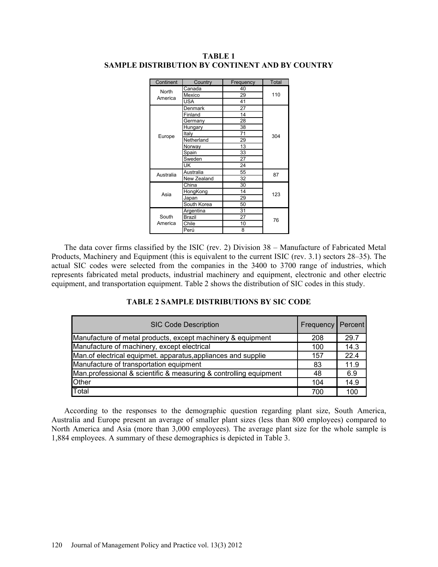| Continent    | Country     | Frequency | <b>Total</b> |  |  |  |
|--------------|-------------|-----------|--------------|--|--|--|
| <b>North</b> | Canada      | 40        |              |  |  |  |
| America      | Mexico      | 29        | 110          |  |  |  |
|              | <b>USA</b>  | 41        |              |  |  |  |
|              | Denmark     | 27        |              |  |  |  |
|              | Finland     | 14        |              |  |  |  |
|              | Germany     | 28        |              |  |  |  |
|              | Hungary     | 38        |              |  |  |  |
| Europe       | Italy       | 71        | 304          |  |  |  |
|              | Netherland  | 29        |              |  |  |  |
|              | Norway      | 13        |              |  |  |  |
|              | Spain       | 33        |              |  |  |  |
|              | Sweden      | 27        |              |  |  |  |
|              | UK          | 24        |              |  |  |  |
| Australia    | Australia   | 55        | 87           |  |  |  |
|              | New Zealand | 32        |              |  |  |  |
| Asia         | China       | 30        |              |  |  |  |
|              | HongKong    | 14        | 123          |  |  |  |
|              | Japan       | 29        |              |  |  |  |
|              | South Korea | 50        |              |  |  |  |
|              | Argentina   | 31        |              |  |  |  |
| South        | Brazil      | 27        | 76           |  |  |  |
| America      | Chile       | 10        |              |  |  |  |
|              | Perú        | 8         |              |  |  |  |

# **TABLE 1 SAMPLE DISTRIBUTION BY CONTINENT AND BY COUNTRY**

The data cover firms classified by the ISIC (rev. 2) Division 38 – Manufacture of Fabricated Metal Products, Machinery and Equipment (this is equivalent to the current ISIC (rev. 3.1) sectors 28–35). The actual SIC codes were selected from the companies in the 3400 to 3700 range of industries, which represents fabricated metal products, industrial machinery and equipment, electronic and other electric equipment, and transportation equipment. Table 2 shows the distribution of SIC codes in this study.

# **TABLE 2 SAMPLE DISTRIBUTIONS BY SIC CODE**

| <b>SIC Code Description</b>                                       | <b>Frequency</b> | Percent |
|-------------------------------------------------------------------|------------------|---------|
| Manufacture of metal products, except machinery & equipment       | 208              | 29.7    |
| Manufacture of machinery, except electrical                       | 100              | 14.3    |
| Man. of electrical equipmet. apparatus, appliances and supplie    | 157              | 22.4    |
| Manufacture of transportation equipment                           | 83               | 11.9    |
| Man.professional & scientific & measuring & controlling equipment | 48               | 6.9     |
| <b>Other</b>                                                      | 104              | 14.9    |
| Total                                                             | 700              | 100     |

According to the responses to the demographic question regarding plant size, South America, Australia and Europe present an average of smaller plant sizes (less than 800 employees) compared to North America and Asia (more than 3,000 employees). The average plant size for the whole sample is 1,884 employees. A summary of these demographics is depicted in Table 3.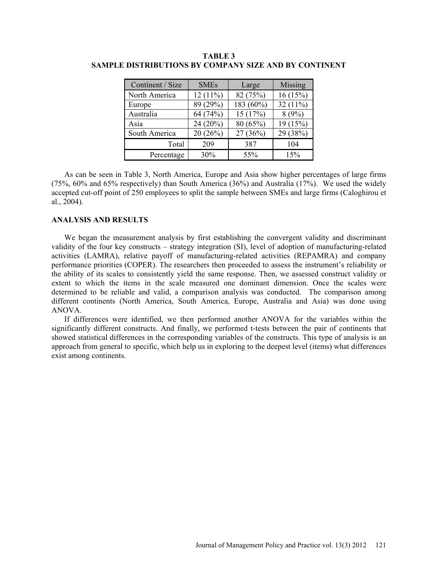| Continent / Size | <b>SMEs</b> | Large     | <b>Missing</b> |
|------------------|-------------|-----------|----------------|
| North America    | $12(11\%)$  | 82 (75%)  | 16(15%)        |
| Europe           | 89 (29%)    | 183 (60%) | 32 $(11\%)$    |
| Australia        | 64 (74%)    | 15(17%)   | 8(9%)          |
| Asia             | 24 (20%)    | 80(65%)   | 19 (15%)       |
| South America    | 20(26%)     | 27(36%)   | 29 (38%)       |
| Total            | 209         | 387       | 104            |
| Percentage       | 30%         | 55%       | 15%            |

**TABLE 3 SAMPLE DISTRIBUTIONS BY COMPANY SIZE AND BY CONTINENT**

As can be seen in Table 3, North America, Europe and Asia show higher percentages of large firms (75%, 60% and 65% respectively) than South America (36%) and Australia (17%). We used the widely accepted cut-off point of 250 employees to split the sample between SMEs and large firms (Caloghirou et al., 2004).

### **ANALYSIS AND RESULTS**

We began the measurement analysis by first establishing the convergent validity and discriminant validity of the four key constructs – strategy integration (SI), level of adoption of manufacturing-related activities (LAMRA), relative payoff of manufacturing-related activities (REPAMRA) and company performance priorities (COPER). The researchers then proceeded to assess the instrument's reliability or the ability of its scales to consistently yield the same response. Then, we assessed construct validity or extent to which the items in the scale measured one dominant dimension. Once the scales were determined to be reliable and valid, a comparison analysis was conducted. The comparison among different continents (North America, South America, Europe, Australia and Asia) was done using ANOVA.

If differences were identified, we then performed another ANOVA for the variables within the significantly different constructs. And finally, we performed t-tests between the pair of continents that showed statistical differences in the corresponding variables of the constructs. This type of analysis is an approach from general to specific, which help us in exploring to the deepest level (items) what differences exist among continents.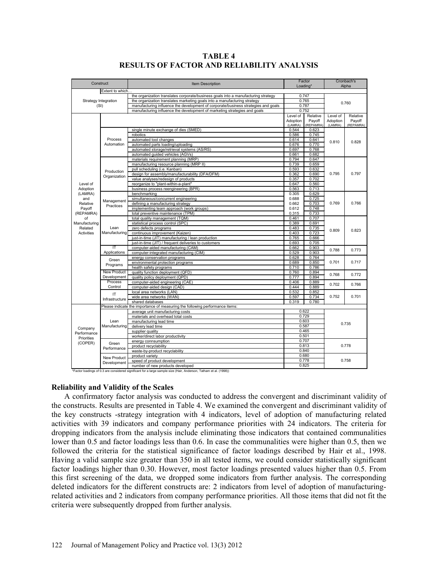|                                                                                                                                                                                                                                                                                                                                                                                        |                               | <b>Item Description</b>                                                               |                                  | Factor<br>Loading*  |                     | Cronbach's          |  |  |
|----------------------------------------------------------------------------------------------------------------------------------------------------------------------------------------------------------------------------------------------------------------------------------------------------------------------------------------------------------------------------------------|-------------------------------|---------------------------------------------------------------------------------------|----------------------------------|---------------------|---------------------|---------------------|--|--|
|                                                                                                                                                                                                                                                                                                                                                                                        |                               |                                                                                       |                                  |                     |                     | Alpha               |  |  |
|                                                                                                                                                                                                                                                                                                                                                                                        |                               |                                                                                       |                                  |                     |                     |                     |  |  |
|                                                                                                                                                                                                                                                                                                                                                                                        |                               | the organization translates corporate/business goals into a manufacturing strategy    | 0.747                            |                     |                     |                     |  |  |
|                                                                                                                                                                                                                                                                                                                                                                                        |                               | the organization translates marketing goals into a manufacturing strategy             | 0.765                            |                     |                     | 0.760               |  |  |
|                                                                                                                                                                                                                                                                                                                                                                                        |                               | manufacturing influence the development of corporate/business strategies and goals    | 0.787<br>0.752                   |                     |                     |                     |  |  |
| Construct<br>Extent to which<br>Strategy Integration<br>(SI)<br>Process<br>Automation<br>Production<br>Organization<br>Level of<br>Adoption<br>(LAMRA)<br>and<br>Relative<br>Practices<br>Payoff<br>(REPAMRA)<br>of<br>Manufacturing<br>Related<br>Lean<br><b>Activities</b><br>ΤΤ<br>Green<br>Programs<br>Development<br>Process<br>Control<br>IT<br>Lean<br>Manufacturing<br>Company |                               | manufacturing influence the development of marketing strategies and goals             |                                  |                     |                     |                     |  |  |
|                                                                                                                                                                                                                                                                                                                                                                                        |                               |                                                                                       | Level of                         | Relative            | Level of            | Relative            |  |  |
|                                                                                                                                                                                                                                                                                                                                                                                        |                               |                                                                                       | Adoption<br>(LAMRA)              | Payoff<br>(REPAMRA) | Adoption<br>(LAMRA) | Payoff<br>(REPAMRA) |  |  |
|                                                                                                                                                                                                                                                                                                                                                                                        |                               | single minute exchange of dies (SMED)                                                 | 0.544                            | 0.623               |                     |                     |  |  |
|                                                                                                                                                                                                                                                                                                                                                                                        |                               | robotics                                                                              | 0.586                            | 0.745               |                     |                     |  |  |
|                                                                                                                                                                                                                                                                                                                                                                                        |                               | automated tool changes                                                                | 0.614                            | 0.641               |                     |                     |  |  |
|                                                                                                                                                                                                                                                                                                                                                                                        |                               | automated parts loading/uploading                                                     | 0.676                            | 0.770               | 0.810               | 0.828               |  |  |
|                                                                                                                                                                                                                                                                                                                                                                                        |                               | automated storage/retrieval systems (AS/RS)                                           | 0.697                            | 0.768               |                     |                     |  |  |
|                                                                                                                                                                                                                                                                                                                                                                                        |                               | automated guided vehicles (AGVs)                                                      | 0.661                            | 0.682               |                     |                     |  |  |
|                                                                                                                                                                                                                                                                                                                                                                                        |                               | materials requirement planning (MRP)                                                  | 0.794                            | 0.647               |                     |                     |  |  |
|                                                                                                                                                                                                                                                                                                                                                                                        |                               | manufacturing resource planning (MRP II)                                              | 0.739                            | 0.659               |                     |                     |  |  |
|                                                                                                                                                                                                                                                                                                                                                                                        |                               | pull scheduling (i.e. Kanban)                                                         | 0.593                            | 0.632               |                     |                     |  |  |
|                                                                                                                                                                                                                                                                                                                                                                                        |                               | design for assembly/manufacturability (DFA/DFM)                                       | 0.362                            | 0.690               | 0.795               | 0.797               |  |  |
|                                                                                                                                                                                                                                                                                                                                                                                        |                               | value analyses/redesign of products                                                   | 0.357                            | 0.702               |                     |                     |  |  |
|                                                                                                                                                                                                                                                                                                                                                                                        |                               | reorganize to "plant-within-a-plant"                                                  | 0.647                            | 0.560               |                     |                     |  |  |
|                                                                                                                                                                                                                                                                                                                                                                                        |                               | business process reengineering (BPR)                                                  | 0.563                            | 0.713               |                     |                     |  |  |
|                                                                                                                                                                                                                                                                                                                                                                                        |                               | benchmarking                                                                          | 0.305                            | 0.629               |                     |                     |  |  |
|                                                                                                                                                                                                                                                                                                                                                                                        |                               | simultaneous/concurrent engineering                                                   | 0.688                            | 0.725               |                     | 0.766               |  |  |
|                                                                                                                                                                                                                                                                                                                                                                                        | Management                    | defining a manufacturing strategy                                                     | 0.662                            | 0.703               | 0.769               |                     |  |  |
|                                                                                                                                                                                                                                                                                                                                                                                        |                               | implementing team approach (work groups)                                              | 0.612                            | 0.748               |                     |                     |  |  |
|                                                                                                                                                                                                                                                                                                                                                                                        |                               | total preventive maintenance (TPM)                                                    | 0.315                            | 0.733               |                     |                     |  |  |
|                                                                                                                                                                                                                                                                                                                                                                                        |                               | total quality management (TQM)                                                        | 0.461                            | 0.707               |                     |                     |  |  |
|                                                                                                                                                                                                                                                                                                                                                                                        |                               | statistical process control (SPC)                                                     | 0.389                            | 0.691               |                     | 0.823               |  |  |
|                                                                                                                                                                                                                                                                                                                                                                                        |                               | zero defects programs                                                                 | 0.483                            | 0.735               | 0.809               |                     |  |  |
|                                                                                                                                                                                                                                                                                                                                                                                        | Manufacturing<br>Applications | continuous improvement (Kaizen)                                                       | 0.403                            | 0.723               |                     |                     |  |  |
|                                                                                                                                                                                                                                                                                                                                                                                        |                               | just-in-time (JIT) manufacturing / lean production                                    | 0.765                            | 0.666               |                     |                     |  |  |
|                                                                                                                                                                                                                                                                                                                                                                                        |                               | just-in-time (JIT) / frequent deliveries to customers                                 | 0.693                            | 0.705               |                     |                     |  |  |
|                                                                                                                                                                                                                                                                                                                                                                                        |                               | computer-aided manufacturing (CAM)                                                    | 0.662                            | 0.903               |                     |                     |  |  |
|                                                                                                                                                                                                                                                                                                                                                                                        |                               | computer-integrated manufacturing (CIM)                                               | 0.529                            | 0.903               | 0.788               | 0.773               |  |  |
|                                                                                                                                                                                                                                                                                                                                                                                        |                               | energy conservation programs                                                          | 0.628                            | 0.764               |                     |                     |  |  |
|                                                                                                                                                                                                                                                                                                                                                                                        | <b>New Product</b>            | environmental protection programs                                                     | 0.689                            | 0.850               | 0.701               | 0.717               |  |  |
|                                                                                                                                                                                                                                                                                                                                                                                        |                               | health safety programs                                                                | 0.710                            | 0.786               |                     |                     |  |  |
|                                                                                                                                                                                                                                                                                                                                                                                        |                               | quality function deployment (QFD)                                                     | 0.760                            | 0.894               |                     |                     |  |  |
|                                                                                                                                                                                                                                                                                                                                                                                        |                               | quality policy deployment (QPD)                                                       | 0.777                            | 0.894               | 0.768               | 0.772               |  |  |
|                                                                                                                                                                                                                                                                                                                                                                                        |                               | computer-aided engineering (CAE)                                                      | 0.406                            | 0.889               |                     |                     |  |  |
|                                                                                                                                                                                                                                                                                                                                                                                        |                               | computer-aided design (CAD)                                                           | 0.444                            | 0.889               | 0.702               | 0.766               |  |  |
|                                                                                                                                                                                                                                                                                                                                                                                        |                               | local area networks (LAN)                                                             | 0.532                            | 0.852               |                     |                     |  |  |
|                                                                                                                                                                                                                                                                                                                                                                                        |                               | wide area networks (WAN)                                                              | 0.597                            | 0.734               | 0.752               | 0.701               |  |  |
|                                                                                                                                                                                                                                                                                                                                                                                        | Infrastructure                | shared databases                                                                      | 0.319                            | 0.780               |                     |                     |  |  |
|                                                                                                                                                                                                                                                                                                                                                                                        |                               |                                                                                       |                                  |                     |                     |                     |  |  |
|                                                                                                                                                                                                                                                                                                                                                                                        |                               | Please indicate the importance of measuring the following performance items:<br>0.622 |                                  |                     |                     |                     |  |  |
|                                                                                                                                                                                                                                                                                                                                                                                        |                               | average unit manufacturing costs<br>materials and overhead total costs                |                                  | 0.729               |                     |                     |  |  |
|                                                                                                                                                                                                                                                                                                                                                                                        |                               | manufacturing lead time                                                               | 0.603<br>0.587<br>0.465<br>0.501 |                     | 0.735               |                     |  |  |
|                                                                                                                                                                                                                                                                                                                                                                                        |                               | delivery lead time                                                                    |                                  |                     |                     |                     |  |  |
|                                                                                                                                                                                                                                                                                                                                                                                        |                               | supplier quality                                                                      |                                  |                     |                     |                     |  |  |
| Performance                                                                                                                                                                                                                                                                                                                                                                            |                               | worker/direct labor productivity                                                      |                                  |                     |                     |                     |  |  |
| Priorities                                                                                                                                                                                                                                                                                                                                                                             |                               | energy connsumption                                                                   | 0.707                            |                     |                     |                     |  |  |
| (COPER)                                                                                                                                                                                                                                                                                                                                                                                | Green                         | product recyclability                                                                 | 0.813                            |                     | 0.778<br>0.758      |                     |  |  |
|                                                                                                                                                                                                                                                                                                                                                                                        | Performance                   | waste-by-product recyclability                                                        | 0.840                            |                     |                     |                     |  |  |
|                                                                                                                                                                                                                                                                                                                                                                                        |                               | product variety                                                                       | 0.680                            |                     |                     |                     |  |  |
|                                                                                                                                                                                                                                                                                                                                                                                        | <b>New Product</b>            | 0.778<br>speed of product development                                                 |                                  |                     |                     |                     |  |  |
|                                                                                                                                                                                                                                                                                                                                                                                        | Development                   |                                                                                       | 0.825                            |                     |                     |                     |  |  |
|                                                                                                                                                                                                                                                                                                                                                                                        |                               | number of new products developed                                                      |                                  |                     |                     |                     |  |  |

**TABLE 4 RESULTS OF FACTOR AND RELIABILITY ANALYSIS**

number of new products developed \*Factor loadings of 0.3 are considered significant for a large sample size (Hair, Anderson, Tatham et al. (1998))

# **Reliability and Validity of the Scales**

A confirmatory factor analysis was conducted to address the convergent and discriminant validity of the constructs. Results are presented in Table 4. We examined the convergent and discriminant validity of the key constructs -strategy integration with 4 indicators, level of adoption of manufacturing related activities with 39 indicators and company performance priorities with 24 indicators. The criteria for dropping indicators from the analysis include eliminating those indicators that contained communalities lower than 0.5 and factor loadings less than 0.6. In case the communalities were higher than 0.5, then we followed the criteria for the statistical significance of factor loadings described by Hair et al., 1998. Having a valid sample size greater than 350 in all tested items, we could consider statistically significant factor loadings higher than 0.30. However, most factor loadings presented values higher than 0.5. From this first screening of the data, we dropped some indicators from further analysis. The corresponding deleted indicators for the different constructs are: 2 indicators from level of adoption of manufacturingrelated activities and 2 indicators from company performance priorities. All those items that did not fit the criteria were subsequently dropped from further analysis.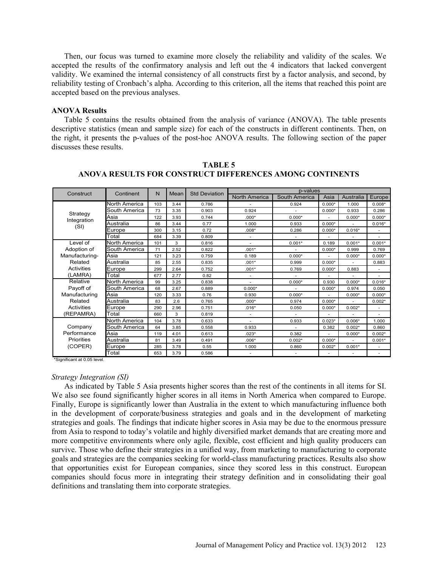Then, our focus was turned to examine more closely the reliability and validity of the scales. We accepted the results of the confirmatory analysis and left out the 4 indicators that lacked convergent validity. We examined the internal consistency of all constructs first by a factor analysis, and second, by reliability testing of Cronbach's alpha. According to this criterion, all the items that reached this point are accepted based on the previous analyses.

# **ANOVA Results**

Table 5 contains the results obtained from the analysis of variance (ANOVA). The table presents descriptive statistics (mean and sample size) for each of the constructs in different continents. Then, on the right, it presents the p-values of the post-hoc ANOVA results. The following section of the paper discusses these results.

| Construct                  | Continent     | N   | Mean | <b>Std Deviation</b> | p-values             |               |          |           |          |
|----------------------------|---------------|-----|------|----------------------|----------------------|---------------|----------|-----------|----------|
|                            |               |     |      |                      | <b>North America</b> | South America | Asia     | Australia | Europe   |
|                            | North America | 103 | 3.44 | 0.786                |                      | 0.924         | $0.000*$ | 1.000     | $0.008*$ |
|                            | South America | 73  | 3.35 | 0.903                | 0.924                |               | $0.000*$ | 0.933     | 0.286    |
| Strategy<br>Integration    | Asia          | 122 | 3.93 | 0.744                | $.000*$              | $0.000*$      |          | $0.000*$  | $0.000*$ |
| (SI)                       | Australia     | 86  | 3.44 | 0.77                 | 1.000                | 0.933         | $0.000*$ | ٠         | $0.016*$ |
|                            | Europe        | 300 | 3.15 | 0.72                 | $.008*$              | 0.286         | $0.000*$ | $0.016*$  | ٠        |
|                            | Total         | 684 | 3.39 | 0.809                |                      |               |          |           |          |
| Level of                   | North America | 101 | 3    | 0.816                |                      | $0.001*$      | 0.189    | $0.001*$  | $0.001*$ |
| Adoption of                | South America | 71  | 2.52 | 0.822                | $.001*$              |               | $0.000*$ | 0.999     | 0.769    |
| Manufacturing-             | Asia          | 121 | 3.23 | 0.759                | 0.189                | $0.000*$      |          | $0.000*$  | $0.000*$ |
| Related                    | Australia     | 85  | 2.55 | 0.835                | $.001*$              | 0.999         | $0.000*$ |           | 0.883    |
| <b>Activities</b>          | Europe        | 299 | 2.64 | 0.752                | $.001*$              | 0.769         | $0.000*$ | 0.883     | ٠        |
| (LAMRA)                    | Total         | 677 | 2.77 | 0.82                 | $\sim$               |               |          |           | ٠        |
| Relative                   | North America | 99  | 3.25 | 0.838                |                      | $0.000*$      | 0.930    | $0.000*$  | $0.016*$ |
| Payoff of<br>Manufacturing | South America | 68  | 2.67 | 0.889                | $0.000*$             |               | $0.000*$ | 0.974     | 0.050    |
|                            | Asia          | 120 | 3.33 | 0.76                 | 0.930                | $0.000*$      |          | $0.000*$  | $0.000*$ |
| Related                    | Australia     | 83  | 2.6  | 0.765                | $.000*$              | 0.974         | $0.000*$ |           | $0.002*$ |
| <b>Activities</b>          | Europe        | 290 | 2.96 | 0.751                | $.016*$              | 0.050         | $0.000*$ | $0.002*$  |          |
| (REPAMRA)                  | Total         | 660 | 3    | 0.819                | ÷.                   |               | ä,       | ٠         | ٠        |
|                            | North America | 104 | 3.78 | 0.633                | $\sim$               | 0.933         | $0.023*$ | $0.006*$  | 1.000    |
| Company                    | South America | 64  | 3.85 | 0.558                | 0.933                |               | 0.382    | $0.002*$  | 0.860    |
| Performance                | Asia          | 119 | 4.01 | 0.613                | $.023*$              | 0.382         |          | $0.000*$  | $0.002*$ |
| Priorities<br>(COPER)      | Australia     | 81  | 3.49 | 0.491                | $.006*$              | $0.002*$      | $0.000*$ |           | $0.001*$ |
|                            | Europe        | 285 | 3.78 | 0.55                 | 1.000                | 0.860         | $0.002*$ | $0.001*$  |          |
|                            | Total         | 653 | 3.79 | 0.586                |                      |               |          |           |          |

**TABLE 5 ANOVA RESULTS FOR CONSTRUCT DIFFERENCES AMONG CONTINENTS**

\*Significant at 0.05 level.

#### *Strategy Integration (SI)*

As indicated by Table 5 Asia presents higher scores than the rest of the continents in all items for SI. We also see found significantly higher scores in all items in North America when compared to Europe. Finally, Europe is significantly lower than Australia in the extent to which manufacturing influence both in the development of corporate/business strategies and goals and in the development of marketing strategies and goals. The findings that indicate higher scores in Asia may be due to the enormous pressure from Asia to respond to today's volatile and highly diversified market demands that are creating more and more competitive environments where only agile, flexible, cost efficient and high quality producers can survive. Those who define their strategies in a unified way, from marketing to manufacturing to corporate goals and strategies are the companies seeking for world-class manufacturing practices. Results also show that opportunities exist for European companies, since they scored less in this construct. European companies should focus more in integrating their strategy definition and in consolidating their goal definitions and translating them into corporate strategies.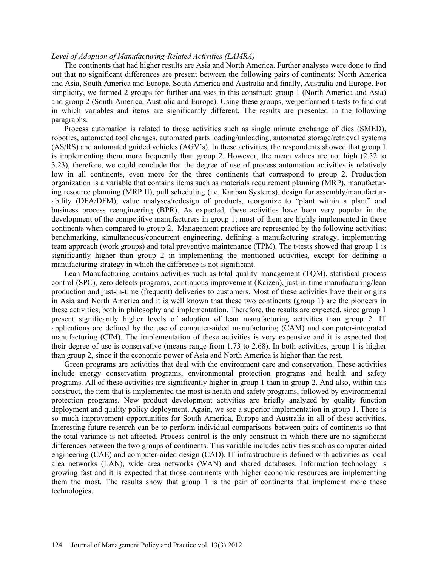### *Level of Adoption of Manufacturing-Related Activities (LAMRA)*

The continents that had higher results are Asia and North America. Further analyses were done to find out that no significant differences are present between the following pairs of continents: North America and Asia, South America and Europe, South America and Australia and finally, Australia and Europe. For simplicity, we formed 2 groups for further analyses in this construct: group 1 (North America and Asia) and group 2 (South America, Australia and Europe). Using these groups, we performed t-tests to find out in which variables and items are significantly different. The results are presented in the following paragraphs.

Process automation is related to those activities such as single minute exchange of dies (SMED), robotics, automated tool changes, automated parts loading/unloading, automated storage/retrieval systems (AS/RS) and automated guided vehicles (AGV's). In these activities, the respondents showed that group 1 is implementing them more frequently than group 2. However, the mean values are not high (2.52 to 3.23), therefore, we could conclude that the degree of use of process automation activities is relatively low in all continents, even more for the three continents that correspond to group 2. Production organization is a variable that contains items such as materials requirement planning (MRP), manufacturing resource planning (MRP II), pull scheduling (i.e. Kanban Systems), design for assembly/manufacturability (DFA/DFM), value analyses/redesign of products, reorganize to "plant within a plant" and business process reengineering (BPR). As expected, these activities have been very popular in the development of the competitive manufacturers in group 1; most of them are highly implemented in these continents when compared to group 2. Management practices are represented by the following activities: benchmarking, simultaneous/concurrent engineering, defining a manufacturing strategy, implementing team approach (work groups) and total preventive maintenance (TPM). The t-tests showed that group 1 is significantly higher than group 2 in implementing the mentioned activities, except for defining a manufacturing strategy in which the difference is not significant.

Lean Manufacturing contains activities such as total quality management (TQM), statistical process control (SPC), zero defects programs, continuous improvement (Kaizen), just-in-time manufacturing/lean production and just-in-time (frequent) deliveries to customers. Most of these activities have their origins in Asia and North America and it is well known that these two continents (group 1) are the pioneers in these activities, both in philosophy and implementation. Therefore, the results are expected, since group 1 present significantly higher levels of adoption of lean manufacturing activities than group 2. IT applications are defined by the use of computer-aided manufacturing (CAM) and computer-integrated manufacturing (CIM). The implementation of these activities is very expensive and it is expected that their degree of use is conservative (means range from 1.73 to 2.68). In both activities, group 1 is higher than group 2, since it the economic power of Asia and North America is higher than the rest.

Green programs are activities that deal with the environment care and conservation. These activities include energy conservation programs, environmental protection programs and health and safety programs. All of these activities are significantly higher in group 1 than in group 2. And also, within this construct, the item that is implemented the most is health and safety programs, followed by environmental protection programs. New product development activities are briefly analyzed by quality function deployment and quality policy deployment. Again, we see a superior implementation in group 1. There is so much improvement opportunities for South America, Europe and Australia in all of these activities. Interesting future research can be to perform individual comparisons between pairs of continents so that the total variance is not affected. Process control is the only construct in which there are no significant differences between the two groups of continents. This variable includes activities such as computer-aided engineering (CAE) and computer-aided design (CAD). IT infrastructure is defined with activities as local area networks (LAN), wide area networks (WAN) and shared databases. Information technology is growing fast and it is expected that those continents with higher economic resources are implementing them the most. The results show that group 1 is the pair of continents that implement more these technologies.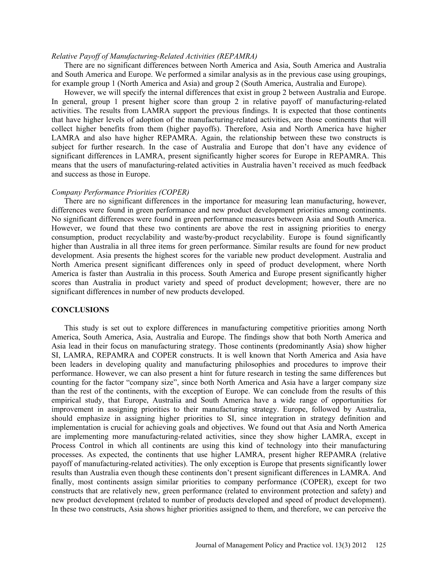# *Relative Payoff of Manufacturing-Related Activities (REPAMRA)*

There are no significant differences between North America and Asia, South America and Australia and South America and Europe. We performed a similar analysis as in the previous case using groupings, for example group 1 (North America and Asia) and group 2 (South America, Australia and Europe).

However, we will specify the internal differences that exist in group 2 between Australia and Europe. In general, group 1 present higher score than group 2 in relative payoff of manufacturing-related activities. The results from LAMRA support the previous findings. It is expected that those continents that have higher levels of adoption of the manufacturing-related activities, are those continents that will collect higher benefits from them (higher payoffs). Therefore, Asia and North America have higher LAMRA and also have higher REPAMRA. Again, the relationship between these two constructs is subject for further research. In the case of Australia and Europe that don't have any evidence of significant differences in LAMRA, present significantly higher scores for Europe in REPAMRA. This means that the users of manufacturing-related activities in Australia haven't received as much feedback and success as those in Europe.

#### *Company Performance Priorities (COPER)*

There are no significant differences in the importance for measuring lean manufacturing, however, differences were found in green performance and new product development priorities among continents. No significant differences were found in green performance measures between Asia and South America. However, we found that these two continents are above the rest in assigning priorities to energy consumption, product recyclability and waste/by-product recyclability. Europe is found significantly higher than Australia in all three items for green performance. Similar results are found for new product development. Asia presents the highest scores for the variable new product development. Australia and North America present significant differences only in speed of product development, where North America is faster than Australia in this process. South America and Europe present significantly higher scores than Australia in product variety and speed of product development; however, there are no significant differences in number of new products developed.

#### **CONCLUSIONS**

This study is set out to explore differences in manufacturing competitive priorities among North America, South America, Asia, Australia and Europe. The findings show that both North America and Asia lead in their focus on manufacturing strategy. Those continents (predominantly Asia) show higher SI, LAMRA, REPAMRA and COPER constructs. It is well known that North America and Asia have been leaders in developing quality and manufacturing philosophies and procedures to improve their performance. However, we can also present a hint for future research in testing the same differences but counting for the factor "company size", since both North America and Asia have a larger company size than the rest of the continents, with the exception of Europe. We can conclude from the results of this empirical study, that Europe, Australia and South America have a wide range of opportunities for improvement in assigning priorities to their manufacturing strategy. Europe, followed by Australia, should emphasize in assigning higher priorities to SI, since integration in strategy definition and implementation is crucial for achieving goals and objectives. We found out that Asia and North America are implementing more manufacturing-related activities, since they show higher LAMRA, except in Process Control in which all continents are using this kind of technology into their manufacturing processes. As expected, the continents that use higher LAMRA, present higher REPAMRA (relative payoff of manufacturing-related activities). The only exception is Europe that presents significantly lower results than Australia even though these continents don't present significant differences in LAMRA. And finally, most continents assign similar priorities to company performance (COPER), except for two constructs that are relatively new, green performance (related to environment protection and safety) and new product development (related to number of products developed and speed of product development). In these two constructs, Asia shows higher priorities assigned to them, and therefore, we can perceive the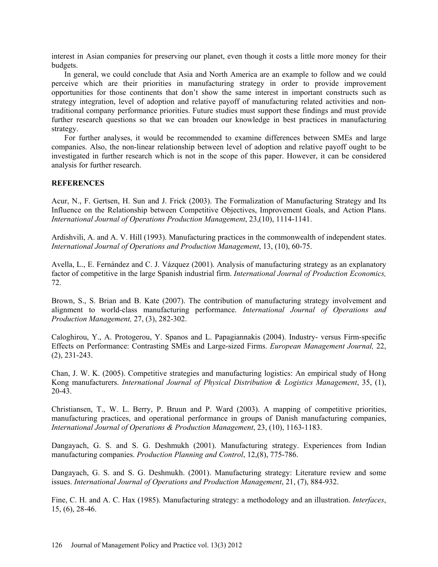interest in Asian companies for preserving our planet, even though it costs a little more money for their budgets.

In general, we could conclude that Asia and North America are an example to follow and we could perceive which are their priorities in manufacturing strategy in order to provide improvement opportunities for those continents that don't show the same interest in important constructs such as strategy integration, level of adoption and relative payoff of manufacturing related activities and nontraditional company performance priorities. Future studies must support these findings and must provide further research questions so that we can broaden our knowledge in best practices in manufacturing strategy.

For further analyses, it would be recommended to examine differences between SMEs and large companies. Also, the non-linear relationship between level of adoption and relative payoff ought to be investigated in further research which is not in the scope of this paper. However, it can be considered analysis for further research.

# **REFERENCES**

Acur, N., F. Gertsen, H. Sun and J. Frick (2003). The Formalization of Manufacturing Strategy and Its Influence on the Relationship between Competitive Objectives, Improvement Goals, and Action Plans. *International Journal of Operations Production Management*, 23,(10), 1114-1141.

Ardishvili, A. and A. V. Hill (1993). Manufacturing practices in the commonwealth of independent states. *International Journal of Operations and Production Management*, 13, (10), 60-75.

Avella, L., E. Fernández and C. J. Vázquez (2001). Analysis of manufacturing strategy as an explanatory factor of competitive in the large Spanish industrial firm. *International Journal of Production Economics,* 72.

Brown, S., S. Brian and B. Kate (2007). The contribution of manufacturing strategy involvement and alignment to world-class manufacturing performance. *International Journal of Operations and Production Management,* 27, (3), 282-302.

Caloghirou, Y., A. Protogerou, Y. Spanos and L. Papagiannakis (2004). Industry- versus Firm-specific Effects on Performance: Contrasting SMEs and Large-sized Firms. *European Management Journal,* 22, (2), 231-243.

Chan, J. W. K. (2005). Competitive strategies and manufacturing logistics: An empirical study of Hong Kong manufacturers. *International Journal of Physical Distribution & Logistics Management*, 35, (1), 20-43.

Christiansen, T., W. L. Berry, P. Bruun and P. Ward (2003). A mapping of competitive priorities, manufacturing practices, and operational performance in groups of Danish manufacturing companies, *International Journal of Operations & Production Management*, 23, (10), 1163-1183.

Dangayach, G. S. and S. G. Deshmukh (2001). Manufacturing strategy. Experiences from Indian manufacturing companies. *Production Planning and Control*, 12,(8), 775-786.

Dangayach, G. S. and S. G. Deshmukh. (2001). Manufacturing strategy: Literature review and some issues. *International Journal of Operations and Production Management*, 21, (7), 884-932.

Fine, C. H. and A. C. Hax (1985). Manufacturing strategy: a methodology and an illustration. *Interfaces*, 15, (6), 28-46.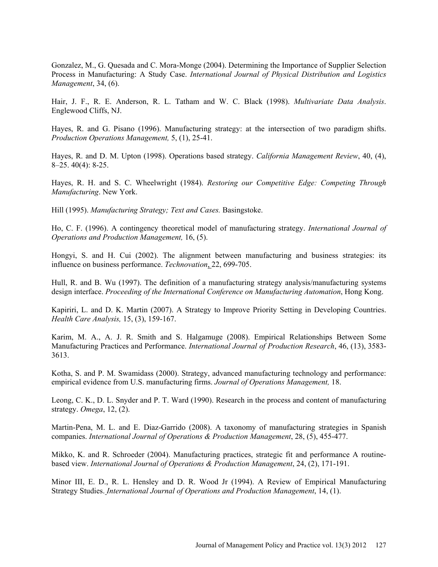Gonzalez, M., G. Quesada and C. Mora-Monge (2004). Determining the Importance of Supplier Selection Process in Manufacturing: A Study Case. *International Journal of Physical Distribution and Logistics Management*, 34, (6).

Hair, J. F., R. E. Anderson, R. L. Tatham and W. C. Black (1998). *Multivariate Data Analysis*. Englewood Cliffs, NJ.

Hayes, R. and G. Pisano (1996). Manufacturing strategy: at the intersection of two paradigm shifts. *Production Operations Management,* 5, (1), 25-41.

Hayes, R. and D. M. Upton (1998). Operations based strategy. *California Management Review*, 40, (4), 8–25. 40(4): 8-25.

Hayes, R. H. and S. C. Wheelwright (1984). *Restoring our Competitive Edge: Competing Through Manufacturing*. New York.

Hill (1995). *Manufacturing Strategy; Text and Cases.* Basingstoke.

Ho, C. F. (1996). A contingency theoretical model of manufacturing strategy. *International Journal of Operations and Production Management,* 16, (5).

Hongyi, S. and H. Cui (2002). The alignment between manufacturing and business strategies: its influence on business performance. *Technovation*, 22, 699-705.

Hull, R. and B. Wu (1997). The definition of a manufacturing strategy analysis/manufacturing systems design interface. *Proceeding of the International Conference on Manufacturing Automation*, Hong Kong.

Kapiriri, L. and D. K. Martin (2007). A Strategy to Improve Priority Setting in Developing Countries. *Health Care Analysis,* 15, (3), 159-167.

Karim, M. A., A. J. R. Smith and S. Halgamuge (2008). Empirical Relationships Between Some Manufacturing Practices and Performance. *International Journal of Production Research*, 46, (13), 3583- 3613.

Kotha, S. and P. M. Swamidass (2000). Strategy, advanced manufacturing technology and performance: empirical evidence from U.S. manufacturing firms. *Journal of Operations Management,* 18.

Leong, C. K., D. L. Snyder and P. T. Ward (1990). Research in the process and content of manufacturing strategy. *Omega*, 12, (2).

Martin-Pena, M. L. and E. Diaz-Garrido (2008). A taxonomy of manufacturing strategies in Spanish companies. *International Journal of Operations & Production Management*, 28, (5), 455-477.

Mikko, K. and R. Schroeder (2004). Manufacturing practices, strategic fit and performance A routinebased view. *International Journal of Operations & Production Management*, 24, (2), 171-191.

Minor III, E. D., R. L. Hensley and D. R. Wood Jr (1994). A Review of Empirical Manufacturing Strategy Studies. *International Journal of Operations and Production Management*, 14, (1).